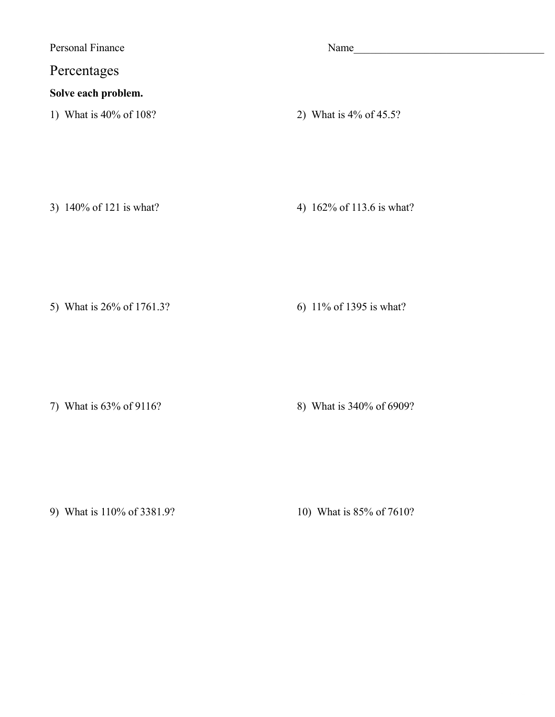**Personal Finance** 

## Percentages

## Solve each problem.

1) What is 40% of 108?

Name

2) What is  $4\%$  of  $45.5$ ?

3) 140% of 121 is what?

4) 162% of 113.6 is what?

5) What is 26% of 1761.3?

6) 11% of 1395 is what?

7) What is 63% of 9116?

8) What is 340% of 6909?

9) What is 110% of 3381.9?

10) What is 85% of 7610?